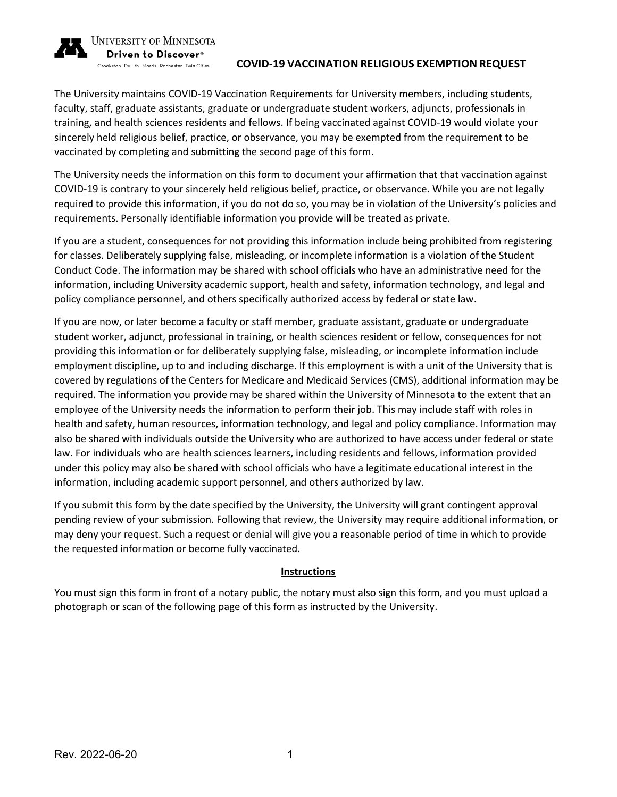

#### UNIVERSITY OF MINNESOTA Driven to Discover<sup>®</sup>

Crookston Duluth Morris Rochester Twin Cities

## **COVID-19 VACCINATION RELIGIOUS EXEMPTION REQUEST**

The University maintains COVID-19 Vaccination Requirements for University members, including students, faculty, staff, graduate assistants, graduate or undergraduate student workers, adjuncts, professionals in training, and health sciences residents and fellows. If being vaccinated against COVID-19 would violate your sincerely held religious belief, practice, or observance, you may be exempted from the requirement to be vaccinated by completing and submitting the second page of this form.

The University needs the information on this form to document your affirmation that that vaccination against COVID-19 is contrary to your sincerely held religious belief, practice, or observance. While you are not legally required to provide this information, if you do not do so, you may be in violation of the University's policies and requirements. Personally identifiable information you provide will be treated as private.

If you are a student, consequences for not providing this information include being prohibited from registering for classes. Deliberately supplying false, misleading, or incomplete information is a violation of the Student Conduct Code. The information may be shared with school officials who have an administrative need for the information, including University academic support, health and safety, information technology, and legal and policy compliance personnel, and others specifically authorized access by federal or state law.

If you are now, or later become a faculty or staff member, graduate assistant, graduate or undergraduate student worker, adjunct, professional in training, or health sciences resident or fellow, consequences for not providing this information or for deliberately supplying false, misleading, or incomplete information include employment discipline, up to and including discharge. If this employment is with a unit of the University that is covered by regulations of the Centers for Medicare and Medicaid Services (CMS), additional information may be required. The information you provide may be shared within the University of Minnesota to the extent that an employee of the University needs the information to perform their job. This may include staff with roles in health and safety, human resources, information technology, and legal and policy compliance. Information may also be shared with individuals outside the University who are authorized to have access under federal or state law. For individuals who are health sciences learners, including residents and fellows, information provided under this policy may also be shared with school officials who have a legitimate educational interest in the information, including academic support personnel, and others authorized by law.

If you submit this form by the date specified by the University, the University will grant contingent approval pending review of your submission. Following that review, the University may require additional information, or may deny your request. Such a request or denial will give you a reasonable period of time in which to provide the requested information or become fully vaccinated.

# **Instructions**

You must sign this form in front of a notary public, the notary must also sign this form, and you must upload a photograph or scan of the following page of this form as instructed by the University.